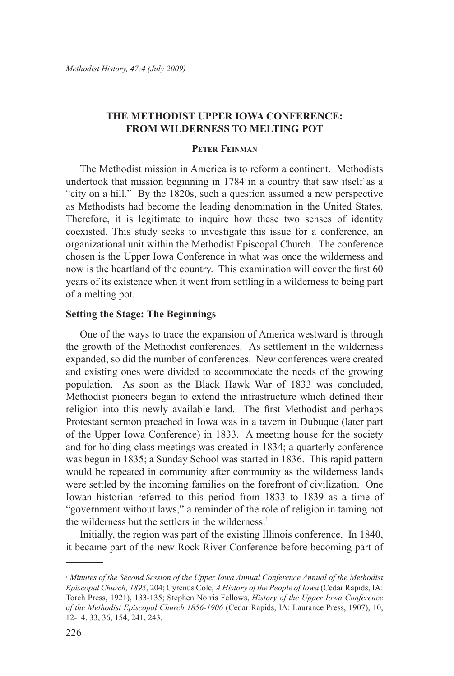# **The Methodist Upper Iowa Conference: From Wilderness to Melting Pot**

## **Peter Feinman**

The Methodist mission in America is to reform a continent. Methodists undertook that mission beginning in 1784 in a country that saw itself as a "city on a hill." By the 1820s, such a question assumed a new perspective as Methodists had become the leading denomination in the United States. Therefore, it is legitimate to inquire how these two senses of identity coexisted. This study seeks to investigate this issue for a conference, an organizational unit within the Methodist Episcopal Church. The conference chosen is the Upper Iowa Conference in what was once the wilderness and now is the heartland of the country. This examination will cover the first 60 years of its existence when it went from settling in a wilderness to being part of a melting pot.

## **Setting the Stage: The Beginnings**

One of the ways to trace the expansion of America westward is through the growth of the Methodist conferences. As settlement in the wilderness expanded, so did the number of conferences. New conferences were created and existing ones were divided to accommodate the needs of the growing population. As soon as the Black Hawk War of 1833 was concluded, Methodist pioneers began to extend the infrastructure which defined their religion into this newly available land. The first Methodist and perhaps Protestant sermon preached in Iowa was in a tavern in Dubuque (later part of the Upper Iowa Conference) in 1833. A meeting house for the society and for holding class meetings was created in 1834; a quarterly conference was begun in 1835; a Sunday School was started in 1836. This rapid pattern would be repeated in community after community as the wilderness lands were settled by the incoming families on the forefront of civilization. One Iowan historian referred to this period from 1833 to 1839 as a time of "government without laws," a reminder of the role of religion in taming not the wilderness but the settlers in the wilderness.<sup>1</sup>

Initially, the region was part of the existing Illinois conference. In 1840, it became part of the new Rock River Conference before becoming part of

<sup>1</sup> *Minutes of the Second Session of the Upper Iowa Annual Conference Annual of the Methodist Episcopal Church, 1895*, 204; Cyrenus Cole, *A History of the People of Iowa* (Cedar Rapids, IA: Torch Press, 1921), 133-135; Stephen Norris Fellows, *History of the Upper Iowa Conference of the Methodist Episcopal Church 1856-1906* (Cedar Rapids, IA: Laurance Press, 1907), 10, 12-14, 33, 36, 154, 241, 243.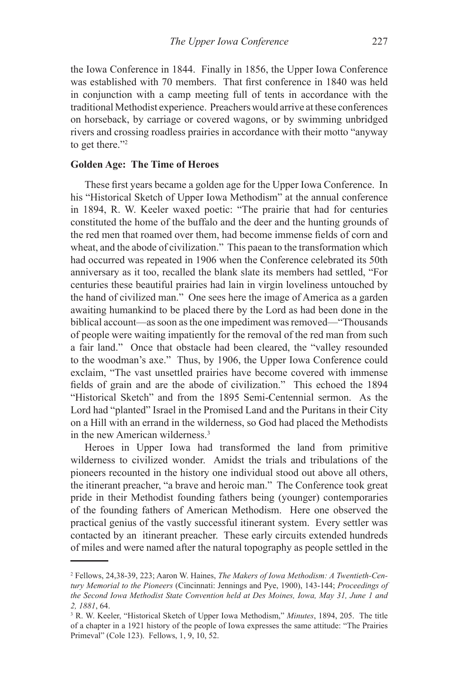the Iowa Conference in 1844. Finally in 1856, the Upper Iowa Conference was established with 70 members. That first conference in 1840 was held in conjunction with a camp meeting full of tents in accordance with the traditional Methodist experience. Preachers would arrive at these conferences on horseback, by carriage or covered wagons, or by swimming unbridged rivers and crossing roadless prairies in accordance with their motto "anyway to get there."2

### **Golden Age: The Time of Heroes**

These first years became a golden age for the Upper Iowa Conference. In his "Historical Sketch of Upper Iowa Methodism" at the annual conference in 1894, R. W. Keeler waxed poetic: "The prairie that had for centuries constituted the home of the buffalo and the deer and the hunting grounds of the red men that roamed over them, had become immense fields of corn and wheat, and the abode of civilization." This paean to the transformation which had occurred was repeated in 1906 when the Conference celebrated its 50th anniversary as it too, recalled the blank slate its members had settled, "For centuries these beautiful prairies had lain in virgin loveliness untouched by the hand of civilized man." One sees here the image of America as a garden awaiting humankind to be placed there by the Lord as had been done in the biblical account—as soon as the one impediment was removed—"Thousands of people were waiting impatiently for the removal of the red man from such a fair land." Once that obstacle had been cleared, the "valley resounded to the woodman's axe." Thus, by 1906, the Upper Iowa Conference could exclaim, "The vast unsettled prairies have become covered with immense fields of grain and are the abode of civilization." This echoed the 1894 "Historical Sketch" and from the 1895 Semi-Centennial sermon. As the Lord had "planted" Israel in the Promised Land and the Puritans in their City on a Hill with an errand in the wilderness, so God had placed the Methodists in the new American wilderness.<sup>3</sup>

Heroes in Upper Iowa had transformed the land from primitive wilderness to civilized wonder. Amidst the trials and tribulations of the pioneers recounted in the history one individual stood out above all others, the itinerant preacher, "a brave and heroic man." The Conference took great pride in their Methodist founding fathers being (younger) contemporaries of the founding fathers of American Methodism. Here one observed the practical genius of the vastly successful itinerant system. Every settler was contacted by an itinerant preacher. These early circuits extended hundreds of miles and were named after the natural topography as people settled in the

<sup>2</sup> Fellows, 24,38-39, 223; Aaron W. Haines, *The Makers of Iowa Methodism: A Twentieth-Century Memorial to the Pioneers* (Cincinnati: Jennings and Pye, 1900), 143-144; *Proceedings of the Second Iowa Methodist State Convention held at Des Moines, Iowa, May 31, June 1 and 2, 1881*, 64.

<sup>3</sup> R. W. Keeler, "Historical Sketch of Upper Iowa Methodism," *Minutes*, 1894, 205. The title of a chapter in a 1921 history of the people of Iowa expresses the same attitude: "The Prairies Primeval" (Cole 123). Fellows, 1, 9, 10, 52.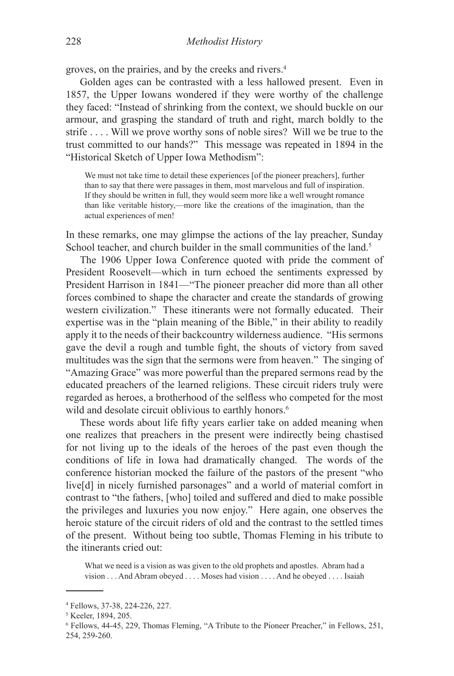groves, on the prairies, and by the creeks and rivers.4

Golden ages can be contrasted with a less hallowed present. Even in 1857, the Upper Iowans wondered if they were worthy of the challenge they faced: "Instead of shrinking from the context, we should buckle on our armour, and grasping the standard of truth and right, march boldly to the strife . . . . Will we prove worthy sons of noble sires? Will we be true to the trust committed to our hands?" This message was repeated in 1894 in the "Historical Sketch of Upper Iowa Methodism":

We must not take time to detail these experiences [of the pioneer preachers], further than to say that there were passages in them, most marvelous and full of inspiration. If they should be written in full, they would seem more like a well wrought romance than like veritable history,—more like the creations of the imagination, than the actual experiences of men!

In these remarks, one may glimpse the actions of the lay preacher, Sunday School teacher, and church builder in the small communities of the land.<sup>5</sup>

The 1906 Upper Iowa Conference quoted with pride the comment of President Roosevelt—which in turn echoed the sentiments expressed by President Harrison in 1841—"The pioneer preacher did more than all other forces combined to shape the character and create the standards of growing western civilization." These itinerants were not formally educated. Their expertise was in the "plain meaning of the Bible," in their ability to readily apply it to the needs of their backcountry wilderness audience. "His sermons gave the devil a rough and tumble fight, the shouts of victory from saved multitudes was the sign that the sermons were from heaven." The singing of "Amazing Grace" was more powerful than the prepared sermons read by the educated preachers of the learned religions. These circuit riders truly were regarded as heroes, a brotherhood of the selfless who competed for the most wild and desolate circuit oblivious to earthly honors.<sup>6</sup>

These words about life fifty years earlier take on added meaning when one realizes that preachers in the present were indirectly being chastised for not living up to the ideals of the heroes of the past even though the conditions of life in Iowa had dramatically changed. The words of the conference historian mocked the failure of the pastors of the present "who live[d] in nicely furnished parsonages" and a world of material comfort in contrast to "the fathers, [who] toiled and suffered and died to make possible the privileges and luxuries you now enjoy." Here again, one observes the heroic stature of the circuit riders of old and the contrast to the settled times of the present. Without being too subtle, Thomas Fleming in his tribute to the itinerants cried out:

What we need is a vision as was given to the old prophets and apostles. Abram had a vision . . . And Abram obeyed . . . . Moses had vision . . . . And he obeyed . . . . Isaiah

<sup>4</sup> Fellows, 37-38, 224-226, 227.

<sup>5</sup> Keeler, 1894, 205.

<sup>6</sup> Fellows, 44-45, 229, Thomas Fleming, "A Tribute to the Pioneer Preacher," in Fellows, 251, 254, 259-260.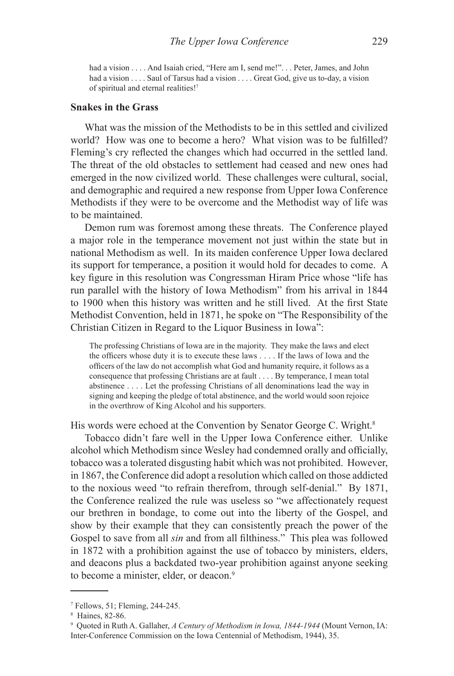had a vision . . . . And Isaiah cried, "Here am I, send me!". . . Peter, James, and John had a vision . . . . Saul of Tarsus had a vision . . . . Great God, give us to-day, a vision of spiritual and eternal realities!7

#### **Snakes in the Grass**

What was the mission of the Methodists to be in this settled and civilized world? How was one to become a hero? What vision was to be fulfilled? Fleming's cry reflected the changes which had occurred in the settled land. The threat of the old obstacles to settlement had ceased and new ones had emerged in the now civilized world. These challenges were cultural, social, and demographic and required a new response from Upper Iowa Conference Methodists if they were to be overcome and the Methodist way of life was to be maintained.

Demon rum was foremost among these threats. The Conference played a major role in the temperance movement not just within the state but in national Methodism as well. In its maiden conference Upper Iowa declared its support for temperance, a position it would hold for decades to come. A key figure in this resolution was Congressman Hiram Price whose "life has run parallel with the history of Iowa Methodism" from his arrival in 1844 to 1900 when this history was written and he still lived. At the first State Methodist Convention, held in 1871, he spoke on "The Responsibility of the Christian Citizen in Regard to the Liquor Business in Iowa":

The professing Christians of Iowa are in the majority. They make the laws and elect the officers whose duty it is to execute these laws . . . . If the laws of Iowa and the officers of the law do not accomplish what God and humanity require, it follows as a consequence that professing Christians are at fault . . . . By temperance, I mean total abstinence . . . . Let the professing Christians of all denominations lead the way in signing and keeping the pledge of total abstinence, and the world would soon rejoice in the overthrow of King Alcohol and his supporters.

His words were echoed at the Convention by Senator George C. Wright.<sup>8</sup>

Tobacco didn't fare well in the Upper Iowa Conference either. Unlike alcohol which Methodism since Wesley had condemned orally and officially, tobacco was a tolerated disgusting habit which was not prohibited. However, in 1867, the Conference did adopt a resolution which called on those addicted to the noxious weed "to refrain therefrom, through self-denial." By 1871, the Conference realized the rule was useless so "we affectionately request our brethren in bondage, to come out into the liberty of the Gospel, and show by their example that they can consistently preach the power of the Gospel to save from all *sin* and from all filthiness." This plea was followed in 1872 with a prohibition against the use of tobacco by ministers, elders, and deacons plus a backdated two-year prohibition against anyone seeking to become a minister, elder, or deacon.<sup>9</sup>

<sup>7</sup> Fellows, 51; Fleming, 244-245.

<sup>8</sup> Haines, 82-86.

<sup>9</sup> Quoted in Ruth A. Gallaher, *A Century of Methodism in Iowa, 1844-1944* (Mount Vernon, IA: Inter-Conference Commission on the Iowa Centennial of Methodism, 1944), 35.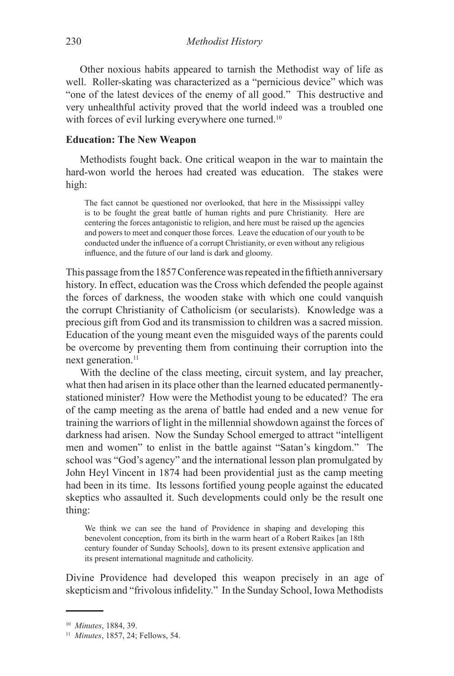Other noxious habits appeared to tarnish the Methodist way of life as well. Roller-skating was characterized as a "pernicious device" which was "one of the latest devices of the enemy of all good." This destructive and very unhealthful activity proved that the world indeed was a troubled one with forces of evil lurking everywhere one turned.<sup>10</sup>

### **Education: The New Weapon**

Methodists fought back. One critical weapon in the war to maintain the hard-won world the heroes had created was education. The stakes were high:

The fact cannot be questioned nor overlooked, that here in the Mississippi valley is to be fought the great battle of human rights and pure Christianity. Here are centering the forces antagonistic to religion, and here must be raised up the agencies and powers to meet and conquer those forces. Leave the education of our youth to be conducted under the influence of a corrupt Christianity, or even without any religious influence, and the future of our land is dark and gloomy.

This passage from the 1857 Conference was repeated in the fiftieth anniversary history. In effect, education was the Cross which defended the people against the forces of darkness, the wooden stake with which one could vanquish the corrupt Christianity of Catholicism (or secularists). Knowledge was a precious gift from God and its transmission to children was a sacred mission. Education of the young meant even the misguided ways of the parents could be overcome by preventing them from continuing their corruption into the next generation.<sup>11</sup>

With the decline of the class meeting, circuit system, and lay preacher, what then had arisen in its place other than the learned educated permanentlystationed minister? How were the Methodist young to be educated? The era of the camp meeting as the arena of battle had ended and a new venue for training the warriors of light in the millennial showdown against the forces of darkness had arisen. Now the Sunday School emerged to attract "intelligent men and women" to enlist in the battle against "Satan's kingdom." The school was "God's agency" and the international lesson plan promulgated by John Heyl Vincent in 1874 had been providential just as the camp meeting had been in its time. Its lessons fortified young people against the educated skeptics who assaulted it. Such developments could only be the result one thing:

We think we can see the hand of Providence in shaping and developing this benevolent conception, from its birth in the warm heart of a Robert Raikes [an 18th century founder of Sunday Schools], down to its present extensive application and its present international magnitude and catholicity.

Divine Providence had developed this weapon precisely in an age of skepticism and "frivolous infidelity." In the Sunday School, Iowa Methodists

<sup>10</sup> *Minutes*, 1884, 39.

<sup>11</sup> *Minutes*, 1857, 24; Fellows, 54.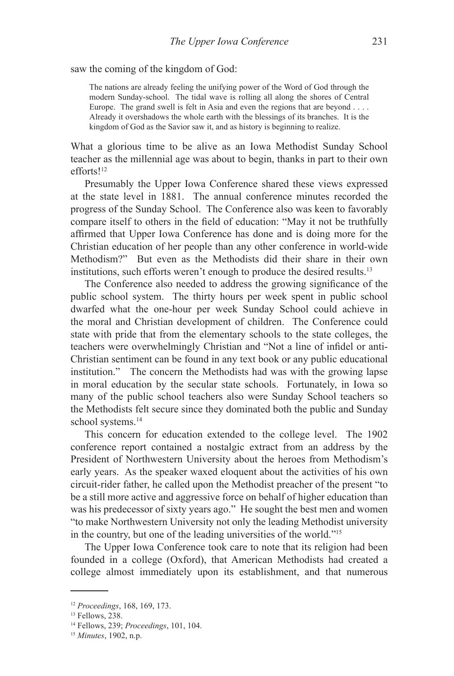saw the coming of the kingdom of God:

The nations are already feeling the unifying power of the Word of God through the modern Sunday-school. The tidal wave is rolling all along the shores of Central Europe. The grand swell is felt in Asia and even the regions that are beyond . . . . Already it overshadows the whole earth with the blessings of its branches. It is the kingdom of God as the Savior saw it, and as history is beginning to realize.

What a glorious time to be alive as an Iowa Methodist Sunday School teacher as the millennial age was about to begin, thanks in part to their own efforts!12

Presumably the Upper Iowa Conference shared these views expressed at the state level in 1881. The annual conference minutes recorded the progress of the Sunday School. The Conference also was keen to favorably compare itself to others in the field of education: "May it not be truthfully affirmed that Upper Iowa Conference has done and is doing more for the Christian education of her people than any other conference in world-wide Methodism?" But even as the Methodists did their share in their own institutions, such efforts weren't enough to produce the desired results.13

The Conference also needed to address the growing significance of the public school system. The thirty hours per week spent in public school dwarfed what the one-hour per week Sunday School could achieve in the moral and Christian development of children. The Conference could state with pride that from the elementary schools to the state colleges, the teachers were overwhelmingly Christian and "Not a line of infidel or anti-Christian sentiment can be found in any text book or any public educational institution." The concern the Methodists had was with the growing lapse in moral education by the secular state schools. Fortunately, in Iowa so many of the public school teachers also were Sunday School teachers so the Methodists felt secure since they dominated both the public and Sunday school systems.<sup>14</sup>

This concern for education extended to the college level. The 1902 conference report contained a nostalgic extract from an address by the President of Northwestern University about the heroes from Methodism's early years. As the speaker waxed eloquent about the activities of his own circuit-rider father, he called upon the Methodist preacher of the present "to be a still more active and aggressive force on behalf of higher education than was his predecessor of sixty years ago." He sought the best men and women "to make Northwestern University not only the leading Methodist university in the country, but one of the leading universities of the world."15

The Upper Iowa Conference took care to note that its religion had been founded in a college (Oxford), that American Methodists had created a college almost immediately upon its establishment, and that numerous

<sup>12</sup> *Proceedings*, 168, 169, 173.

<sup>13</sup> Fellows, 238.

<sup>14</sup> Fellows, 239; *Proceedings*, 101, 104.

<sup>15</sup> *Minutes*, 1902, n.p.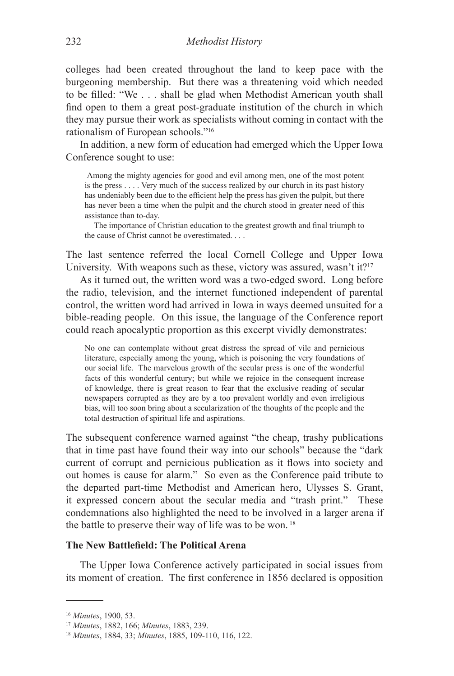colleges had been created throughout the land to keep pace with the burgeoning membership. But there was a threatening void which needed to be filled: "We . . . shall be glad when Methodist American youth shall find open to them a great post-graduate institution of the church in which they may pursue their work as specialists without coming in contact with the rationalism of European schools."16

In addition, a new form of education had emerged which the Upper Iowa Conference sought to use:

Among the mighty agencies for good and evil among men, one of the most potent is the press . . . . Very much of the success realized by our church in its past history has undeniably been due to the efficient help the press has given the pulpit, but there has never been a time when the pulpit and the church stood in greater need of this assistance than to-day.

The importance of Christian education to the greatest growth and final triumph to the cause of Christ cannot be overestimated. . . .

The last sentence referred the local Cornell College and Upper Iowa University. With weapons such as these, victory was assured, wasn't it?<sup>17</sup>

As it turned out, the written word was a two-edged sword. Long before the radio, television, and the internet functioned independent of parental control, the written word had arrived in Iowa in ways deemed unsuited for a bible-reading people. On this issue, the language of the Conference report could reach apocalyptic proportion as this excerpt vividly demonstrates:

No one can contemplate without great distress the spread of vile and pernicious literature, especially among the young, which is poisoning the very foundations of our social life. The marvelous growth of the secular press is one of the wonderful facts of this wonderful century; but while we rejoice in the consequent increase of knowledge, there is great reason to fear that the exclusive reading of secular newspapers corrupted as they are by a too prevalent worldly and even irreligious bias, will too soon bring about a secularization of the thoughts of the people and the total destruction of spiritual life and aspirations.

The subsequent conference warned against "the cheap, trashy publications that in time past have found their way into our schools" because the "dark current of corrupt and pernicious publication as it flows into society and out homes is cause for alarm." So even as the Conference paid tribute to the departed part-time Methodist and American hero, Ulysses S. Grant, it expressed concern about the secular media and "trash print." These condemnations also highlighted the need to be involved in a larger arena if the battle to preserve their way of life was to be won. 18

## **The New Battlefield: The Political Arena**

The Upper Iowa Conference actively participated in social issues from its moment of creation. The first conference in 1856 declared is opposition

<sup>16</sup> *Minutes*, 1900, 53.

<sup>17</sup> *Minutes*, 1882, 166; *Minutes*, 1883, 239.

<sup>18</sup> *Minutes*, 1884, 33; *Minutes*, 1885, 109-110, 116, 122.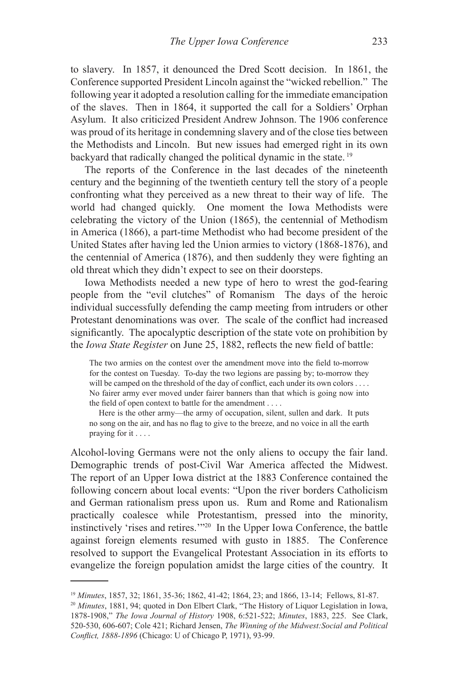to slavery. In 1857, it denounced the Dred Scott decision. In 1861, the Conference supported President Lincoln against the "wicked rebellion." The following year it adopted a resolution calling for the immediate emancipation of the slaves. Then in 1864, it supported the call for a Soldiers' Orphan Asylum. It also criticized President Andrew Johnson. The 1906 conference was proud of its heritage in condemning slavery and of the close ties between the Methodists and Lincoln. But new issues had emerged right in its own backyard that radically changed the political dynamic in the state. 19

The reports of the Conference in the last decades of the nineteenth century and the beginning of the twentieth century tell the story of a people confronting what they perceived as a new threat to their way of life. The world had changed quickly. One moment the Iowa Methodists were celebrating the victory of the Union (1865), the centennial of Methodism in America (1866), a part-time Methodist who had become president of the United States after having led the Union armies to victory (1868-1876), and the centennial of America (1876), and then suddenly they were fighting an old threat which they didn't expect to see on their doorsteps.

Iowa Methodists needed a new type of hero to wrest the god-fearing people from the "evil clutches" of Romanism The days of the heroic individual successfully defending the camp meeting from intruders or other Protestant denominations was over. The scale of the conflict had increased significantly. The apocalyptic description of the state vote on prohibition by the *Iowa State Register* on June 25, 1882, reflects the new field of battle:

The two armies on the contest over the amendment move into the field to-morrow for the contest on Tuesday. To-day the two legions are passing by; to-morrow they will be camped on the threshold of the day of conflict, each under its own colors . . . . No fairer army ever moved under fairer banners than that which is going now into the field of open context to battle for the amendment . . . .

Here is the other army—the army of occupation, silent, sullen and dark. It puts no song on the air, and has no flag to give to the breeze, and no voice in all the earth praying for it . . . .

Alcohol-loving Germans were not the only aliens to occupy the fair land. Demographic trends of post-Civil War America affected the Midwest. The report of an Upper Iowa district at the 1883 Conference contained the following concern about local events: "Upon the river borders Catholicism and German rationalism press upon us. Rum and Rome and Rationalism practically coalesce while Protestantism, pressed into the minority, instinctively 'rises and retires.'"20 In the Upper Iowa Conference, the battle against foreign elements resumed with gusto in 1885. The Conference resolved to support the Evangelical Protestant Association in its efforts to evangelize the foreign population amidst the large cities of the country. It

<sup>19</sup> *Minutes*, 1857, 32; 1861, 35-36; 1862, 41-42; 1864, 23; and 1866, 13-14; Fellows, 81-87.

<sup>&</sup>lt;sup>20</sup> *Minutes*, 1881, 94; quoted in Don Elbert Clark, "The History of Liquor Legislation in Iowa, 1878-1908," *The Iowa Journal of History* 1908, 6:521-522; *Minutes*, 1883, 225. See Clark, 520-530, 606-607; Cole 421; Richard Jensen, *The Winning of the Midwest:Social and Political Conflict, 1888-1896* (Chicago: U of Chicago P, 1971), 93-99.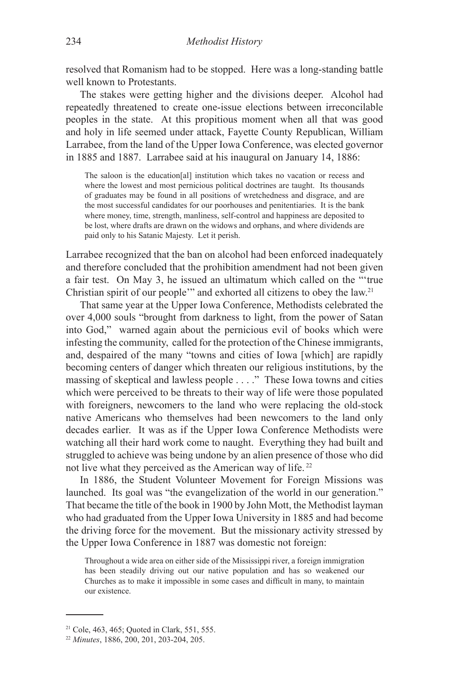resolved that Romanism had to be stopped. Here was a long-standing battle well known to Protestants.

The stakes were getting higher and the divisions deeper. Alcohol had repeatedly threatened to create one-issue elections between irreconcilable peoples in the state. At this propitious moment when all that was good and holy in life seemed under attack, Fayette County Republican, William Larrabee, from the land of the Upper Iowa Conference, was elected governor in 1885 and 1887. Larrabee said at his inaugural on January 14, 1886:

The saloon is the education[al] institution which takes no vacation or recess and where the lowest and most pernicious political doctrines are taught. Its thousands of graduates may be found in all positions of wretchedness and disgrace, and are the most successful candidates for our poorhouses and penitentiaries. It is the bank where money, time, strength, manliness, self-control and happiness are deposited to be lost, where drafts are drawn on the widows and orphans, and where dividends are paid only to his Satanic Majesty. Let it perish.

Larrabee recognized that the ban on alcohol had been enforced inadequately and therefore concluded that the prohibition amendment had not been given a fair test. On May 3, he issued an ultimatum which called on the "'true Christian spirit of our people'" and exhorted all citizens to obey the law.21

That same year at the Upper Iowa Conference, Methodists celebrated the over 4,000 souls "brought from darkness to light, from the power of Satan into God," warned again about the pernicious evil of books which were infesting the community, called for the protection of the Chinese immigrants, and, despaired of the many "towns and cities of Iowa [which] are rapidly becoming centers of danger which threaten our religious institutions, by the massing of skeptical and lawless people . . . ." These Iowa towns and cities which were perceived to be threats to their way of life were those populated with foreigners, newcomers to the land who were replacing the old-stock native Americans who themselves had been newcomers to the land only decades earlier. It was as if the Upper Iowa Conference Methodists were watching all their hard work come to naught. Everything they had built and struggled to achieve was being undone by an alien presence of those who did not live what they perceived as the American way of life. 22

In 1886, the Student Volunteer Movement for Foreign Missions was launched. Its goal was "the evangelization of the world in our generation." That became the title of the book in 1900 by John Mott, the Methodist layman who had graduated from the Upper Iowa University in 1885 and had become the driving force for the movement. But the missionary activity stressed by the Upper Iowa Conference in 1887 was domestic not foreign:

Throughout a wide area on either side of the Mississippi river, a foreign immigration has been steadily driving out our native population and has so weakened our Churches as to make it impossible in some cases and difficult in many, to maintain our existence.

<sup>21</sup> Cole, 463, 465; Quoted in Clark, 551, 555.

<sup>22</sup> *Minutes*, 1886, 200, 201, 203-204, 205.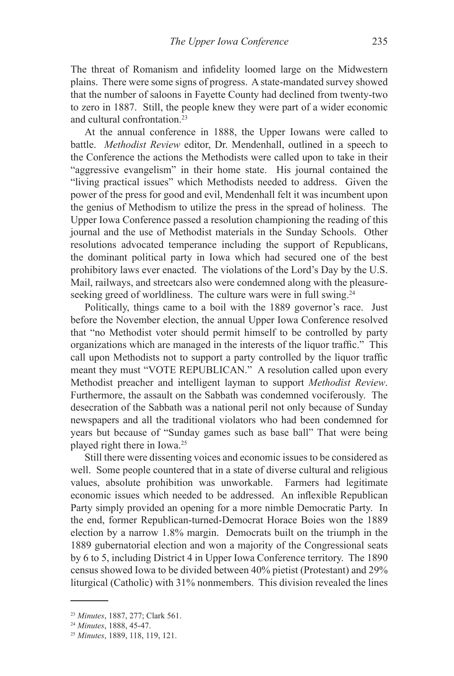The threat of Romanism and infidelity loomed large on the Midwestern plains. There were some signs of progress. A state-mandated survey showed that the number of saloons in Fayette County had declined from twenty-two to zero in 1887. Still, the people knew they were part of a wider economic and cultural confrontation<sup>23</sup>

At the annual conference in 1888, the Upper Iowans were called to battle. *Methodist Review* editor, Dr. Mendenhall, outlined in a speech to the Conference the actions the Methodists were called upon to take in their "aggressive evangelism" in their home state. His journal contained the "living practical issues" which Methodists needed to address. Given the power of the press for good and evil, Mendenhall felt it was incumbent upon the genius of Methodism to utilize the press in the spread of holiness. The Upper Iowa Conference passed a resolution championing the reading of this journal and the use of Methodist materials in the Sunday Schools. Other resolutions advocated temperance including the support of Republicans, the dominant political party in Iowa which had secured one of the best prohibitory laws ever enacted. The violations of the Lord's Day by the U.S. Mail, railways, and streetcars also were condemned along with the pleasureseeking greed of worldliness. The culture wars were in full swing.<sup>24</sup>

Politically, things came to a boil with the 1889 governor's race. Just before the November election, the annual Upper Iowa Conference resolved that "no Methodist voter should permit himself to be controlled by party organizations which are managed in the interests of the liquor traffic." This call upon Methodists not to support a party controlled by the liquor traffic meant they must "VOTE REPUBLICAN." A resolution called upon every Methodist preacher and intelligent layman to support *Methodist Review*. Furthermore, the assault on the Sabbath was condemned vociferously. The desecration of the Sabbath was a national peril not only because of Sunday newspapers and all the traditional violators who had been condemned for years but because of "Sunday games such as base ball" That were being played right there in Iowa.25

Still there were dissenting voices and economic issues to be considered as well. Some people countered that in a state of diverse cultural and religious values, absolute prohibition was unworkable. Farmers had legitimate economic issues which needed to be addressed. An inflexible Republican Party simply provided an opening for a more nimble Democratic Party. In the end, former Republican-turned-Democrat Horace Boies won the 1889 election by a narrow 1.8% margin. Democrats built on the triumph in the 1889 gubernatorial election and won a majority of the Congressional seats by 6 to 5, including District 4 in Upper Iowa Conference territory. The 1890 census showed Iowa to be divided between 40% pietist (Protestant) and 29% liturgical (Catholic) with 31% nonmembers. This division revealed the lines

<sup>23</sup> *Minutes*, 1887, 277; Clark 561.

<sup>24</sup> *Minutes*, 1888, 45-47.

<sup>25</sup> *Minutes*, 1889, 118, 119, 121.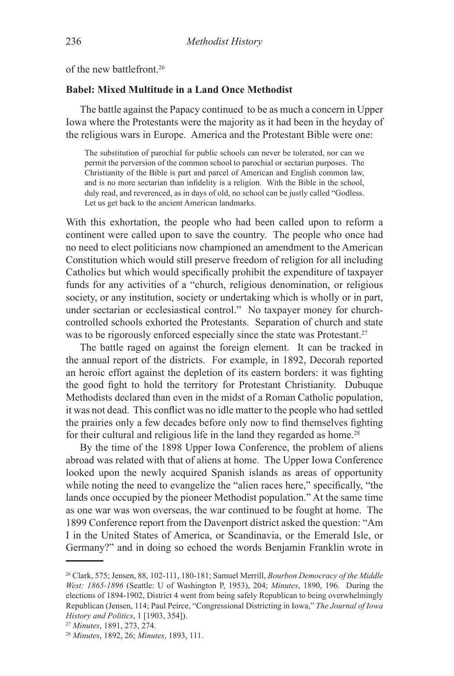of the new battlefront.26

## **Babel: Mixed Multitude in a Land Once Methodist**

The battle against the Papacy continued to be as much a concern in Upper Iowa where the Protestants were the majority as it had been in the heyday of the religious wars in Europe. America and the Protestant Bible were one:

The substitution of parochial for public schools can never be tolerated, nor can we permit the perversion of the common school to parochial or sectarian purposes. The Christianity of the Bible is part and parcel of American and English common law, and is no more sectarian than infidelity is a religion. With the Bible in the school, duly read, and reverenced, as in days of old, no school can be justly called "Godless. Let us get back to the ancient American landmarks.

With this exhortation, the people who had been called upon to reform a continent were called upon to save the country. The people who once had no need to elect politicians now championed an amendment to the American Constitution which would still preserve freedom of religion for all including Catholics but which would specifically prohibit the expenditure of taxpayer funds for any activities of a "church, religious denomination, or religious society, or any institution, society or undertaking which is wholly or in part, under sectarian or ecclesiastical control." No taxpayer money for churchcontrolled schools exhorted the Protestants. Separation of church and state was to be rigorously enforced especially since the state was Protestant.<sup>27</sup>

The battle raged on against the foreign element. It can be tracked in the annual report of the districts. For example, in 1892, Decorah reported an heroic effort against the depletion of its eastern borders: it was fighting the good fight to hold the territory for Protestant Christianity. Dubuque Methodists declared than even in the midst of a Roman Catholic population, it was not dead. This conflict was no idle matter to the people who had settled the prairies only a few decades before only now to find themselves fighting for their cultural and religious life in the land they regarded as home.<sup>28</sup>

By the time of the 1898 Upper Iowa Conference, the problem of aliens abroad was related with that of aliens at home. The Upper Iowa Conference looked upon the newly acquired Spanish islands as areas of opportunity while noting the need to evangelize the "alien races here," specifically, "the lands once occupied by the pioneer Methodist population." At the same time as one war was won overseas, the war continued to be fought at home. The 1899 Conference report from the Davenport district asked the question: "Am I in the United States of America, or Scandinavia, or the Emerald Isle, or Germany?" and in doing so echoed the words Benjamin Franklin wrote in

<sup>26</sup> Clark, 575; Jensen, 88, 102-111, 180-181; Samuel Merrill, *Bourbon Democracy of the Middle West: 1865-1896* (Seattle: U of Washington P, 1953), 204; *Minutes*, 1890, 196. During the elections of 1894-1902, District 4 went from being safely Republican to being overwhelmingly Republican (Jensen, 114; Paul Peirce, "Congressional Districting in Iowa," *The Journal of Iowa History and Politics*, 1 [1903, 354]).

<sup>27</sup> *Minutes*, 1891, 273, 274.

<sup>28</sup> *Minutes*, 1892, 26; *Minutes*, 1893, 111.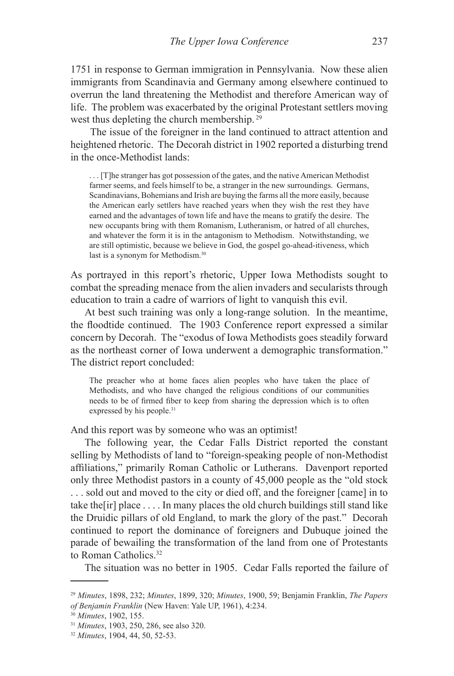1751 in response to German immigration in Pennsylvania. Now these alien immigrants from Scandinavia and Germany among elsewhere continued to overrun the land threatening the Methodist and therefore American way of life. The problem was exacerbated by the original Protestant settlers moving west thus depleting the church membership. 29

 The issue of the foreigner in the land continued to attract attention and heightened rhetoric. The Decorah district in 1902 reported a disturbing trend in the once-Methodist lands:

. . . [T]he stranger has got possession of the gates, and the native American Methodist farmer seems, and feels himself to be, a stranger in the new surroundings. Germans, Scandinavians, Bohemians and Irish are buying the farms all the more easily, because the American early settlers have reached years when they wish the rest they have earned and the advantages of town life and have the means to gratify the desire. The new occupants bring with them Romanism, Lutheranism, or hatred of all churches, and whatever the form it is in the antagonism to Methodism. Notwithstanding, we are still optimistic, because we believe in God, the gospel go-ahead-itiveness, which last is a synonym for Methodism.30

As portrayed in this report's rhetoric, Upper Iowa Methodists sought to combat the spreading menace from the alien invaders and secularists through education to train a cadre of warriors of light to vanquish this evil.

At best such training was only a long-range solution. In the meantime, the floodtide continued. The 1903 Conference report expressed a similar concern by Decorah. The "exodus of Iowa Methodists goes steadily forward as the northeast corner of Iowa underwent a demographic transformation." The district report concluded:

The preacher who at home faces alien peoples who have taken the place of Methodists, and who have changed the religious conditions of our communities needs to be of firmed fiber to keep from sharing the depression which is to often expressed by his people.<sup>31</sup>

And this report was by someone who was an optimist!

The following year, the Cedar Falls District reported the constant selling by Methodists of land to "foreign-speaking people of non-Methodist affiliations," primarily Roman Catholic or Lutherans. Davenport reported only three Methodist pastors in a county of 45,000 people as the "old stock . . . sold out and moved to the city or died off, and the foreigner [came] in to take the[ir] place . . . . In many places the old church buildings still stand like the Druidic pillars of old England, to mark the glory of the past." Decorah continued to report the dominance of foreigners and Dubuque joined the parade of bewailing the transformation of the land from one of Protestants to Roman Catholics.32

The situation was no better in 1905. Cedar Falls reported the failure of

<sup>29</sup> *Minutes*, 1898, 232; *Minutes*, 1899, 320; *Minutes*, 1900, 59; Benjamin Franklin, *The Papers of Benjamin Franklin* (New Haven: Yale UP, 1961), 4:234.

<sup>30</sup> *Minutes*, 1902, 155.

<sup>31</sup> *Minutes*, 1903, 250, 286, see also 320.

<sup>32</sup> *Minutes*, 1904, 44, 50, 52-53.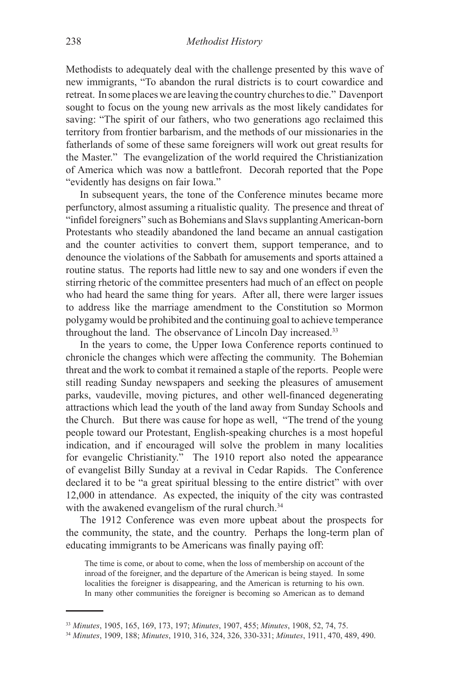Methodists to adequately deal with the challenge presented by this wave of new immigrants, "To abandon the rural districts is to court cowardice and retreat. In some places we are leaving the country churches to die." Davenport sought to focus on the young new arrivals as the most likely candidates for saving: "The spirit of our fathers, who two generations ago reclaimed this territory from frontier barbarism, and the methods of our missionaries in the fatherlands of some of these same foreigners will work out great results for the Master." The evangelization of the world required the Christianization of America which was now a battlefront. Decorah reported that the Pope "evidently has designs on fair Iowa."

In subsequent years, the tone of the Conference minutes became more perfunctory, almost assuming a ritualistic quality. The presence and threat of "infidel foreigners" such as Bohemians and Slavs supplanting American-born Protestants who steadily abandoned the land became an annual castigation and the counter activities to convert them, support temperance, and to denounce the violations of the Sabbath for amusements and sports attained a routine status. The reports had little new to say and one wonders if even the stirring rhetoric of the committee presenters had much of an effect on people who had heard the same thing for years. After all, there were larger issues to address like the marriage amendment to the Constitution so Mormon polygamy would be prohibited and the continuing goal to achieve temperance throughout the land. The observance of Lincoln Day increased.33

In the years to come, the Upper Iowa Conference reports continued to chronicle the changes which were affecting the community. The Bohemian threat and the work to combat it remained a staple of the reports. People were still reading Sunday newspapers and seeking the pleasures of amusement parks, vaudeville, moving pictures, and other well-financed degenerating attractions which lead the youth of the land away from Sunday Schools and the Church. But there was cause for hope as well, "The trend of the young people toward our Protestant, English-speaking churches is a most hopeful indication, and if encouraged will solve the problem in many localities for evangelic Christianity." The 1910 report also noted the appearance of evangelist Billy Sunday at a revival in Cedar Rapids. The Conference declared it to be "a great spiritual blessing to the entire district" with over 12,000 in attendance. As expected, the iniquity of the city was contrasted with the awakened evangelism of the rural church.<sup>34</sup>

The 1912 Conference was even more upbeat about the prospects for the community, the state, and the country. Perhaps the long-term plan of educating immigrants to be Americans was finally paying off:

The time is come, or about to come, when the loss of membership on account of the inroad of the foreigner, and the departure of the American is being stayed. In some localities the foreigner is disappearing, and the American is returning to his own. In many other communities the foreigner is becoming so American as to demand

<sup>33</sup> *Minutes*, 1905, 165, 169, 173, 197; *Minutes*, 1907, 455; *Minutes*, 1908, 52, 74, 75.

<sup>34</sup> *Minutes*, 1909, 188; *Minutes*, 1910, 316, 324, 326, 330-331; *Minutes*, 1911, 470, 489, 490.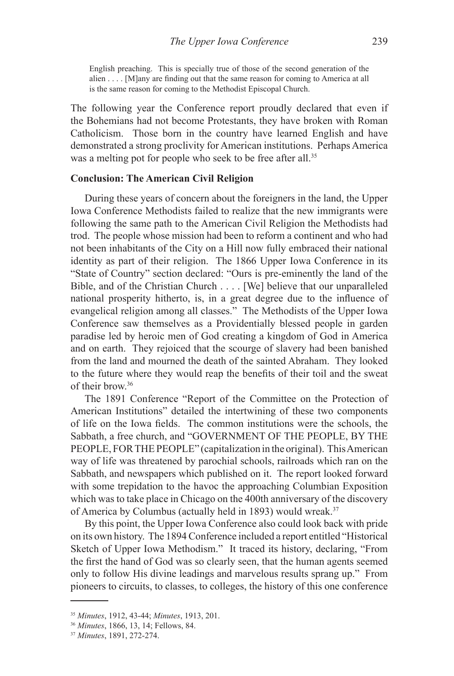English preaching. This is specially true of those of the second generation of the alien . . . . [M]any are finding out that the same reason for coming to America at all is the same reason for coming to the Methodist Episcopal Church.

The following year the Conference report proudly declared that even if the Bohemians had not become Protestants, they have broken with Roman Catholicism. Those born in the country have learned English and have demonstrated a strong proclivity for American institutions. Perhaps America was a melting pot for people who seek to be free after all.<sup>35</sup>

### **Conclusion: The American Civil Religion**

During these years of concern about the foreigners in the land, the Upper Iowa Conference Methodists failed to realize that the new immigrants were following the same path to the American Civil Religion the Methodists had trod. The people whose mission had been to reform a continent and who had not been inhabitants of the City on a Hill now fully embraced their national identity as part of their religion. The 1866 Upper Iowa Conference in its "State of Country" section declared: "Ours is pre-eminently the land of the Bible, and of the Christian Church . . . . [We] believe that our unparalleled national prosperity hitherto, is, in a great degree due to the influence of evangelical religion among all classes." The Methodists of the Upper Iowa Conference saw themselves as a Providentially blessed people in garden paradise led by heroic men of God creating a kingdom of God in America and on earth. They rejoiced that the scourge of slavery had been banished from the land and mourned the death of the sainted Abraham. They looked to the future where they would reap the benefits of their toil and the sweat of their brow.36

The 1891 Conference "Report of the Committee on the Protection of American Institutions" detailed the intertwining of these two components of life on the Iowa fields. The common institutions were the schools, the Sabbath, a free church, and "GOVERNMENT OF THE PEOPLE, BY THE PEOPLE, FOR THE PEOPLE" (capitalization in the original). This American way of life was threatened by parochial schools, railroads which ran on the Sabbath, and newspapers which published on it. The report looked forward with some trepidation to the havoc the approaching Columbian Exposition which was to take place in Chicago on the 400th anniversary of the discovery of America by Columbus (actually held in 1893) would wreak.<sup>37</sup>

By this point, the Upper Iowa Conference also could look back with pride on its own history. The 1894 Conference included a report entitled "Historical Sketch of Upper Iowa Methodism." It traced its history, declaring, "From the first the hand of God was so clearly seen, that the human agents seemed only to follow His divine leadings and marvelous results sprang up." From pioneers to circuits, to classes, to colleges, the history of this one conference

<sup>35</sup> *Minutes*, 1912, 43-44; *Minutes*, 1913, 201.

<sup>36</sup> *Minutes*, 1866, 13, 14; Fellows, 84.

<sup>37</sup> *Minutes*, 1891, 272-274.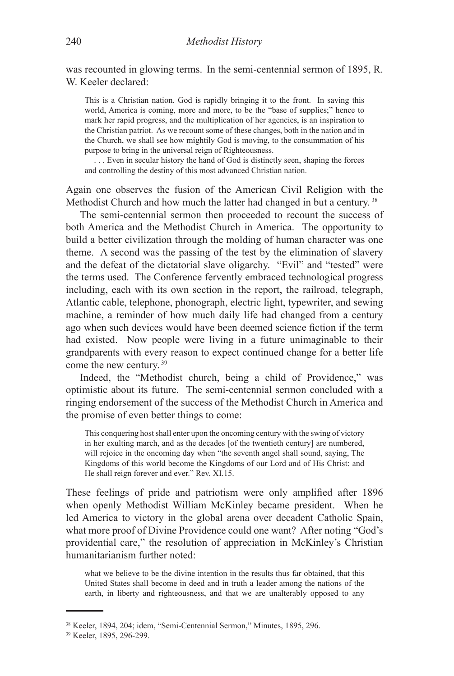was recounted in glowing terms. In the semi-centennial sermon of 1895, R. W. Keeler declared:

This is a Christian nation. God is rapidly bringing it to the front. In saving this world, America is coming, more and more, to be the "base of supplies;" hence to mark her rapid progress, and the multiplication of her agencies, is an inspiration to the Christian patriot. As we recount some of these changes, both in the nation and in the Church, we shall see how mightily God is moving, to the consummation of his purpose to bring in the universal reign of Righteousness.

. . . Even in secular history the hand of God is distinctly seen, shaping the forces and controlling the destiny of this most advanced Christian nation.

Again one observes the fusion of the American Civil Religion with the Methodist Church and how much the latter had changed in but a century.<sup>38</sup>

The semi-centennial sermon then proceeded to recount the success of both America and the Methodist Church in America. The opportunity to build a better civilization through the molding of human character was one theme. A second was the passing of the test by the elimination of slavery and the defeat of the dictatorial slave oligarchy. "Evil" and "tested" were the terms used. The Conference fervently embraced technological progress including, each with its own section in the report, the railroad, telegraph, Atlantic cable, telephone, phonograph, electric light, typewriter, and sewing machine, a reminder of how much daily life had changed from a century ago when such devices would have been deemed science fiction if the term had existed. Now people were living in a future unimaginable to their grandparents with every reason to expect continued change for a better life come the new century. 39

Indeed, the "Methodist church, being a child of Providence," was optimistic about its future. The semi-centennial sermon concluded with a ringing endorsement of the success of the Methodist Church in America and the promise of even better things to come:

This conquering host shall enter upon the oncoming century with the swing of victory in her exulting march, and as the decades [of the twentieth century] are numbered, will rejoice in the oncoming day when "the seventh angel shall sound, saying, The Kingdoms of this world become the Kingdoms of our Lord and of His Christ: and He shall reign forever and ever." Rev. XI.15.

These feelings of pride and patriotism were only amplified after 1896 when openly Methodist William McKinley became president. When he led America to victory in the global arena over decadent Catholic Spain, what more proof of Divine Providence could one want? After noting "God's providential care," the resolution of appreciation in McKinley's Christian humanitarianism further noted:

what we believe to be the divine intention in the results thus far obtained, that this United States shall become in deed and in truth a leader among the nations of the earth, in liberty and righteousness, and that we are unalterably opposed to any

<sup>38</sup> Keeler, 1894, 204; idem, "Semi-Centennial Sermon," Minutes, 1895, 296.

<sup>39</sup> Keeler, 1895, 296-299.